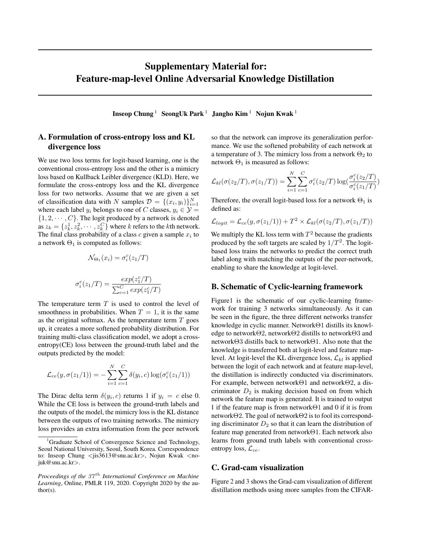## Supplementary Material for: Feature-map-level Online Adversarial Knowledge Distillation

Inseop Chung<sup>1</sup> SeongUk Park<sup>1</sup> Jangho Kim<sup>1</sup> Nojun Kwak<sup>1</sup>

## A. Formulation of cross-entropy loss and KL divergence loss

We use two loss terms for logit-based learning, one is the conventional cross-entropy loss and the other is a mimicry loss based on Kullback Leibler divergence (KLD). Here, we formulate the cross-entropy loss and the KL divergence loss for two networks. Assume that we are given a set of classification data with N samples  $\mathcal{D} = \{(x_i, y_i)\}_{i=1}^N$ where each label  $y_i$  belongs to one of C classes,  $y_i \in \mathcal{Y}$  =  $\{1, 2, \cdots, C\}$ . The logit produced by a network is denoted as  $z_k = \{z_k^1, z_k^2, \cdots, z_k^C\}$  where k refers to the kth network. The final class probability of a class  $c$  given a sample  $x_i$  to a network  $\Theta_1$  is computed as follows:

$$
\mathcal{N}_{\Theta_1}(x_i) = \sigma_i^c(z_1/T)
$$

$$
\sigma_i^c(z_1/T) = \frac{exp(z_1^c/T)}{\sum_{c=1}^C exp(z_1^c/T)}
$$

The temperature term  $T$  is used to control the level of smoothness in probabilities. When  $T = 1$ , it is the same as the original softmax. As the temperature term  $T$  goes up, it creates a more softened probability distribution. For training multi-class classification model, we adopt a crossentropy(CE) loss between the ground-truth label and the outputs predicted by the model:

$$
\mathcal{L}_{ce}(y, \sigma(z_1/1))) = -\sum_{i=1}^{N} \sum_{c=1}^{C} \delta(y_i, c) \log(\sigma_i^c(z_1/1))
$$

The Dirac delta term  $\delta(y_i, c)$  returns 1 if  $y_i = c$  else 0. While the CE loss is between the ground-truth labels and the outputs of the model, the mimicry loss is the KL distance between the outputs of two training networks. The mimicry loss provides an extra information from the peer network

so that the network can improve its generalization performance. We use the softened probability of each network at a temperature of 3. The mimicry loss from a network  $\Theta_2$  to network  $\Theta_1$  is measured as follows:

$$
\mathcal{L}_{kl}(\sigma(z_2/T), \sigma(z_1/T)) = \sum_{i=1}^N \sum_{c=1}^C \sigma_i^c(z_2/T) \log(\frac{\sigma_i^c(z_2/T)}{\sigma_i^c(z_1/T)})
$$

Therefore, the overall logit-based loss for a network  $\Theta_1$  is defined as:

$$
\mathcal{L}_{logit} = \mathcal{L}_{ce}(y, \sigma(z_1/1)) + T^2 \times \mathcal{L}_{kl}(\sigma(z_2/T), \sigma(z_1/T))
$$

We multiply the KL loss term with  $T^2$  because the gradients produced by the soft targets are scaled by  $1/T^2$ . The logitbased loss trains the networks to predict the correct truth label along with matching the outputs of the peer-network, enabling to share the knowledge at logit-level.

## B. Schematic of Cyclic-learning framework

Figur[e1](#page-1-0) is the schematic of our cyclic-learning framework for training 3 networks simultaneously. As it can be seen in the figure, the three different networks transfer knowledge in cyclic manner. NetworkΘ1 distills its knowledge to networkΘ2, networkΘ2 distills to networkΘ3 and networkΘ3 distills back to networkΘ1. Also note that the knowledge is transferred both at logit-level and feature maplevel. At logit-level the KL divergence loss,  $\mathcal{L}_{kl}$  is applied between the logit of each network and at feature map-level, the distillation is indirectly conducted via discriminators. For example, between networkΘ1 and networkΘ2, a discriminator  $D_2$  is making decision based on from which network the feature map is generated. It is trained to output 1 if the feature map is from networkΘ1 and 0 if it is from networkΘ2. The goal of networkΘ2 is to fool its corresponding discriminator  $D_2$  so that it can learn the distribution of feature map generated from networkΘ1. Each network also learns from ground truth labels with conventional crossentropy loss,  $\mathcal{L}_{ce}$ .

## C. Grad-cam visualization

Figure [2](#page-2-0) and [3](#page-2-0) shows the Grad-cam visualization of different distillation methods using more samples from the CIFAR-

<sup>1</sup>Graduate School of Convergence Science and Technology, Seoul National University, Seoul, South Korea. Correspondence to: Inseop Chung  $\langle$ jis3613@snu.ac.kr>, Nojun Kwak  $\langle$ nojuk@snu.ac.kr>.

*Proceedings of the 37<sup>th</sup> International Conference on Machine Learning*, Online, PMLR 119, 2020. Copyright 2020 by the author(s).